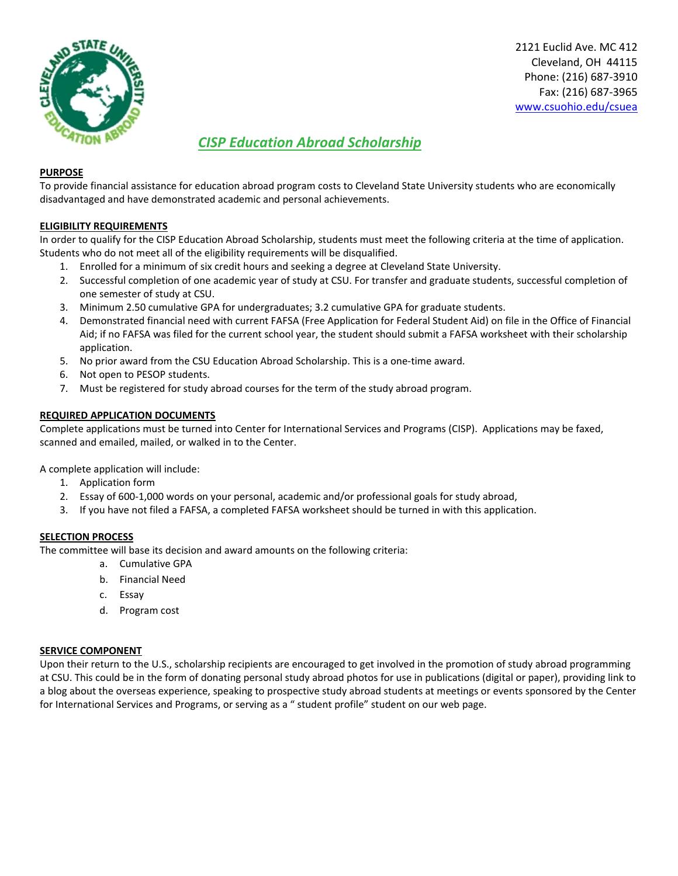

2121 Euclid Ave. MC 412 Cleveland, OH 44115 Phone: (216) 687‐3910 Fax: (216) 687‐3965 www.csuohio.edu/csuea

## *CISP Education Abroad Scholarship*

#### **PURPOSE**

To provide financial assistance for education abroad program costs to Cleveland State University students who are economically disadvantaged and have demonstrated academic and personal achievements.

### **ELIGIBILITY REQUIREMENTS**

In order to qualify for the CISP Education Abroad Scholarship, students must meet the following criteria at the time of application. Students who do not meet all of the eligibility requirements will be disqualified.

- 1. Enrolled for a minimum of six credit hours and seeking a degree at Cleveland State University.
- 2. Successful completion of one academic year of study at CSU. For transfer and graduate students, successful completion of one semester of study at CSU.
- 3. Minimum 2.50 cumulative GPA for undergraduates; 3.2 cumulative GPA for graduate students.
- 4. Demonstrated financial need with current FAFSA (Free Application for Federal Student Aid) on file in the Office of Financial Aid; if no FAFSA was filed for the current school year, the student should submit a FAFSA worksheet with their scholarship application.
- 5. No prior award from the CSU Education Abroad Scholarship. This is a one-time award.
- 6. Not open to PESOP students.
- 7. Must be registered for study abroad courses for the term of the study abroad program.

#### **REQUIRED APPLICATION DOCUMENTS**

Complete applications must be turned into Center for International Services and Programs (CISP). Applications may be faxed, scanned and emailed, mailed, or walked in to the Center.

A complete application will include:

- 1. Application form
- 2. Essay of 600‐1,000 words on your personal, academic and/or professional goals for study abroad,
- 3. If you have not filed a FAFSA, a completed FAFSA worksheet should be turned in with this application.

#### **SELECTION PROCESS**

The committee will base its decision and award amounts on the following criteria:

- a. Cumulative GPA
- b. Financial Need
- c. Essay
- d. Program cost

#### **SERVICE COMPONENT**

Upon their return to the U.S., scholarship recipients are encouraged to get involved in the promotion of study abroad programming at CSU. This could be in the form of donating personal study abroad photos for use in publications (digital or paper), providing link to a blog about the overseas experience, speaking to prospective study abroad students at meetings or events sponsored by the Center for International Services and Programs, or serving as a " student profile" student on our web page.